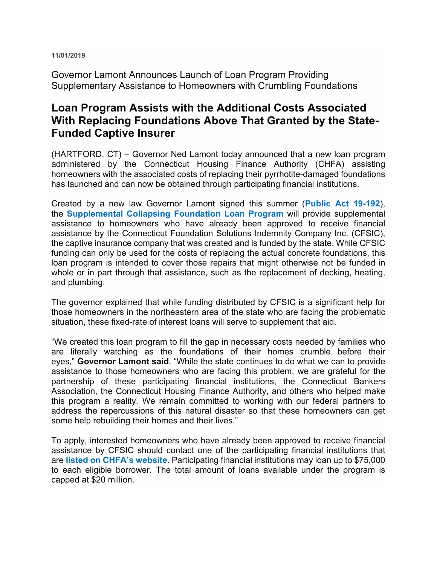**11/01/2019** 

Governor Lamont Announces Launch of Loan Program Providing Supplementary Assistance to Homeowners with Crumbling Foundations

## **Loan Program Assists with the Additional Costs Associated With Replacing Foundations Above That Granted by the State-Funded Captive Insurer**

(HARTFORD, CT) – Governor Ned Lamont today announced that a new loan program administered by the Connecticut Housing Finance Authority (CHFA) assisting homeowners with the associated costs of replacing their pyrrhotite-damaged foundations has launched and can now be obtained through participating financial institutions.

Created by a new law Governor Lamont signed this summer (**Public Act 19-192**), the **Supplemental Collapsing Foundation Loan Program** will provide supplemental assistance to homeowners who have already been approved to receive financial assistance by the Connecticut Foundation Solutions Indemnity Company Inc. (CFSIC), the captive insurance company that was created and is funded by the state. While CFSIC funding can only be used for the costs of replacing the actual concrete foundations, this loan program is intended to cover those repairs that might otherwise not be funded in whole or in part through that assistance, such as the replacement of decking, heating, and plumbing.

The governor explained that while funding distributed by CFSIC is a significant help for those homeowners in the northeastern area of the state who are facing the problematic situation, these fixed-rate of interest loans will serve to supplement that aid.

"We created this loan program to fill the gap in necessary costs needed by families who are literally watching as the foundations of their homes crumble before their eyes," **Governor Lamont said**. "While the state continues to do what we can to provide assistance to those homeowners who are facing this problem, we are grateful for the partnership of these participating financial institutions, the Connecticut Bankers Association, the Connecticut Housing Finance Authority, and others who helped make this program a reality. We remain committed to working with our federal partners to address the repercussions of this natural disaster so that these homeowners can get some help rebuilding their homes and their lives."

To apply, interested homeowners who have already been approved to receive financial assistance by CFSIC should contact one of the participating financial institutions that are **listed on CHFA's website**. Participating financial institutions may loan up to \$75,000 to each eligible borrower. The total amount of loans available under the program is capped at \$20 million.